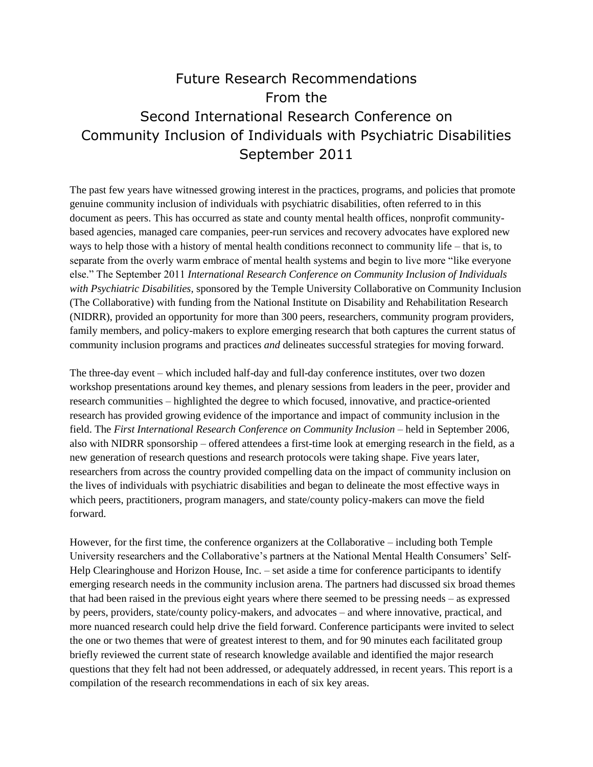# Future Research Recommendations From the Second International Research Conference on Community Inclusion of Individuals with Psychiatric Disabilities September 2011

The past few years have witnessed growing interest in the practices, programs, and policies that promote genuine community inclusion of individuals with psychiatric disabilities, often referred to in this document as peers. This has occurred as state and county mental health offices, nonprofit communitybased agencies, managed care companies, peer-run services and recovery advocates have explored new ways to help those with a history of mental health conditions reconnect to community life – that is, to separate from the overly warm embrace of mental health systems and begin to live more "like everyone else." The September 2011 *International Research Conference on Community Inclusion of Individuals with Psychiatric Disabilities,* sponsored by the Temple University Collaborative on Community Inclusion (The Collaborative) with funding from the National Institute on Disability and Rehabilitation Research (NIDRR), provided an opportunity for more than 300 peers, researchers, community program providers, family members, and policy-makers to explore emerging research that both captures the current status of community inclusion programs and practices *and* delineates successful strategies for moving forward.

The three-day event – which included half-day and full-day conference institutes, over two dozen workshop presentations around key themes, and plenary sessions from leaders in the peer, provider and research communities – highlighted the degree to which focused, innovative, and practice-oriented research has provided growing evidence of the importance and impact of community inclusion in the field. The *First International Research Conference on Community Inclusion* – held in September 2006, also with NIDRR sponsorship – offered attendees a first-time look at emerging research in the field, as a new generation of research questions and research protocols were taking shape. Five years later, researchers from across the country provided compelling data on the impact of community inclusion on the lives of individuals with psychiatric disabilities and began to delineate the most effective ways in which peers, practitioners, program managers, and state/county policy-makers can move the field forward.

However, for the first time, the conference organizers at the Collaborative – including both Temple University researchers and the Collaborative's partners at the National Mental Health Consumers' Self-Help Clearinghouse and Horizon House, Inc. – set aside a time for conference participants to identify emerging research needs in the community inclusion arena. The partners had discussed six broad themes that had been raised in the previous eight years where there seemed to be pressing needs – as expressed by peers, providers, state/county policy-makers, and advocates – and where innovative, practical, and more nuanced research could help drive the field forward. Conference participants were invited to select the one or two themes that were of greatest interest to them, and for 90 minutes each facilitated group briefly reviewed the current state of research knowledge available and identified the major research questions that they felt had not been addressed, or adequately addressed, in recent years. This report is a compilation of the research recommendations in each of six key areas.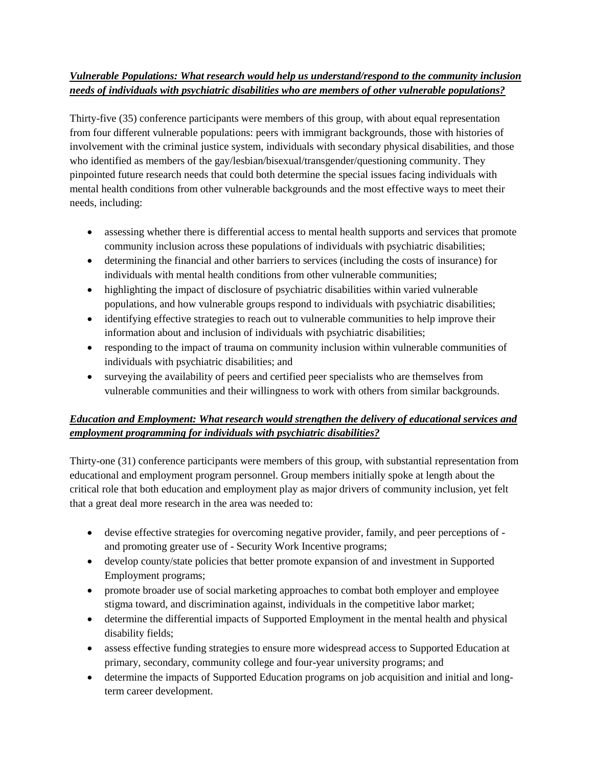### *Vulnerable Populations: What research would help us understand/respond to the community inclusion needs of individuals with psychiatric disabilities who are members of other vulnerable populations?*

Thirty-five (35) conference participants were members of this group, with about equal representation from four different vulnerable populations: peers with immigrant backgrounds, those with histories of involvement with the criminal justice system, individuals with secondary physical disabilities, and those who identified as members of the gay/lesbian/bisexual/transgender/questioning community. They pinpointed future research needs that could both determine the special issues facing individuals with mental health conditions from other vulnerable backgrounds and the most effective ways to meet their needs, including:

- assessing whether there is differential access to mental health supports and services that promote community inclusion across these populations of individuals with psychiatric disabilities;
- determining the financial and other barriers to services (including the costs of insurance) for individuals with mental health conditions from other vulnerable communities;
- highlighting the impact of disclosure of psychiatric disabilities within varied vulnerable populations, and how vulnerable groups respond to individuals with psychiatric disabilities;
- identifying effective strategies to reach out to vulnerable communities to help improve their information about and inclusion of individuals with psychiatric disabilities;
- responding to the impact of trauma on community inclusion within vulnerable communities of individuals with psychiatric disabilities; and
- surveying the availability of peers and certified peer specialists who are themselves from vulnerable communities and their willingness to work with others from similar backgrounds.

### *Education and Employment: What research would strengthen the delivery of educational services and employment programming for individuals with psychiatric disabilities?*

Thirty-one (31) conference participants were members of this group, with substantial representation from educational and employment program personnel. Group members initially spoke at length about the critical role that both education and employment play as major drivers of community inclusion, yet felt that a great deal more research in the area was needed to:

- devise effective strategies for overcoming negative provider, family, and peer perceptions of and promoting greater use of - Security Work Incentive programs;
- develop county/state policies that better promote expansion of and investment in Supported Employment programs;
- promote broader use of social marketing approaches to combat both employer and employee stigma toward, and discrimination against, individuals in the competitive labor market;
- determine the differential impacts of Supported Employment in the mental health and physical disability fields;
- assess effective funding strategies to ensure more widespread access to Supported Education at primary, secondary, community college and four-year university programs; and
- determine the impacts of Supported Education programs on job acquisition and initial and longterm career development.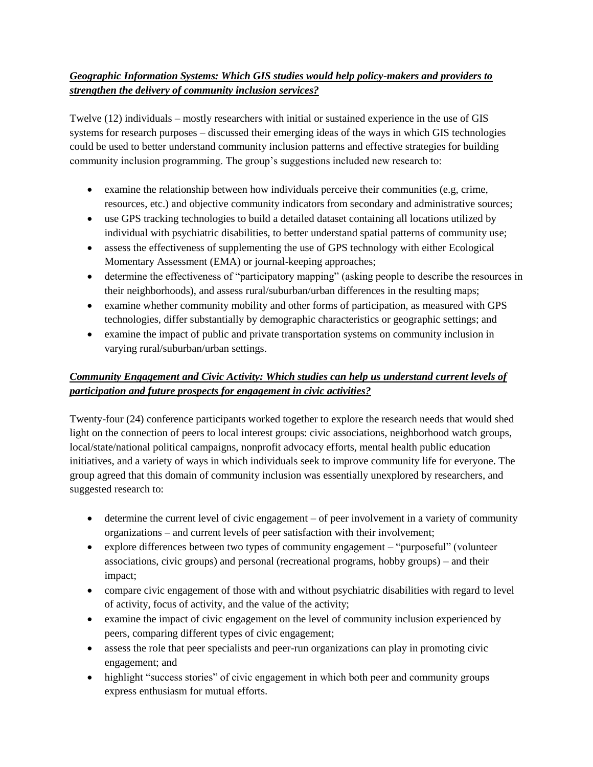## *Geographic Information Systems: Which GIS studies would help policy-makers and providers to strengthen the delivery of community inclusion services?*

Twelve (12) individuals – mostly researchers with initial or sustained experience in the use of GIS systems for research purposes – discussed their emerging ideas of the ways in which GIS technologies could be used to better understand community inclusion patterns and effective strategies for building community inclusion programming. The group's suggestions included new research to:

- examine the relationship between how individuals perceive their communities (e.g, crime, resources, etc.) and objective community indicators from secondary and administrative sources;
- use GPS tracking technologies to build a detailed dataset containing all locations utilized by individual with psychiatric disabilities, to better understand spatial patterns of community use;
- assess the effectiveness of supplementing the use of GPS technology with either Ecological Momentary Assessment (EMA) or journal-keeping approaches;
- determine the effectiveness of "participatory mapping" (asking people to describe the resources in their neighborhoods), and assess rural/suburban/urban differences in the resulting maps;
- examine whether community mobility and other forms of participation, as measured with GPS technologies, differ substantially by demographic characteristics or geographic settings; and
- examine the impact of public and private transportation systems on community inclusion in varying rural/suburban/urban settings.

# *Community Engagement and Civic Activity: Which studies can help us understand current levels of participation and future prospects for engagement in civic activities?*

Twenty-four (24) conference participants worked together to explore the research needs that would shed light on the connection of peers to local interest groups: civic associations, neighborhood watch groups, local/state/national political campaigns, nonprofit advocacy efforts, mental health public education initiatives, and a variety of ways in which individuals seek to improve community life for everyone. The group agreed that this domain of community inclusion was essentially unexplored by researchers, and suggested research to:

- determine the current level of civic engagement of peer involvement in a variety of community organizations – and current levels of peer satisfaction with their involvement;
- explore differences between two types of community engagement "purposeful" (volunteer associations, civic groups) and personal (recreational programs, hobby groups) – and their impact;
- compare civic engagement of those with and without psychiatric disabilities with regard to level of activity, focus of activity, and the value of the activity;
- examine the impact of civic engagement on the level of community inclusion experienced by peers, comparing different types of civic engagement;
- assess the role that peer specialists and peer-run organizations can play in promoting civic engagement; and
- highlight "success stories" of civic engagement in which both peer and community groups express enthusiasm for mutual efforts.